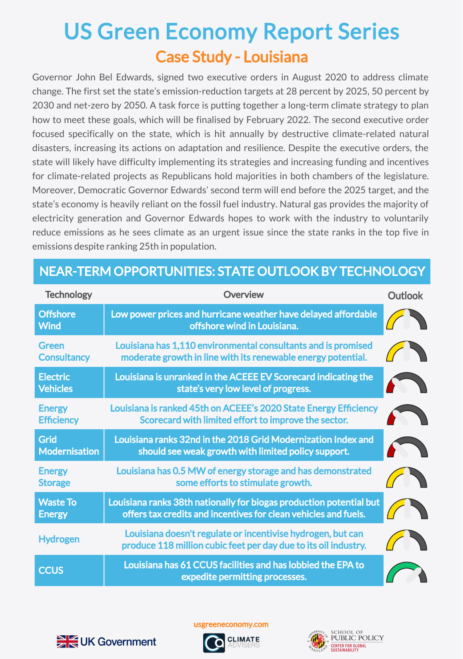## Case Study - Louisiana US Green Economy Report Series

Governor John Bel Edwards, signed two executive orders in August 2020 to address climate change. The first set the state's emission-reduction targets at 28 percent by 2025, 50 percent by 2030 and net-zero by 2050. A task force is putting together a long-term climate strategy to plan how to meet these goals, which will be finalised by February 2022. The second executive order focused specifically on the state, which is hit annually by destructive climate-related natural disasters, increasing its actions on adaptation and resilience. Despite the executive orders, the state will likely have difficulty implementing its strategies and increasing funding and incentives for climate-related projects as Republicans hold majorities in both chambers of the legislature. Moreover, Democratic Governor Edwards' second term will end before the 2025 target, and the state's economy is heavily reliant on the fossil fuel industry. Natural gas provides the majority of electricity generation and Governor Edwards hopes to work with the industry to voluntarily reduce emissions as he sees climate as an urgent issue since the state ranks in the top five in emissions despite ranking 25th in population.

| <b>Technology</b>                  | Overview                                                                                                                               | <b>Outlook</b> |
|------------------------------------|----------------------------------------------------------------------------------------------------------------------------------------|----------------|
| <b>Offshore</b><br><b>Wind</b>     | Low power prices and hurricane weather have delayed affordable<br>offshore wind in Louisiana.                                          |                |
| Green<br><b>Consultancy</b>        | Louisiana has 1,110 environmental consultants and is promised<br>moderate growth in line with its renewable energy potential.          |                |
| <b>Electric</b><br><b>Vehicles</b> | Louisiana is unranked in the ACEEE EV Scorecard indicating the<br>state's very low level of progress.                                  |                |
| <b>Energy</b><br><b>Efficiency</b> | Louisiana is ranked 45th on ACEEE's 2020 State Energy Efficiency<br>Scorecard with limited effort to improve the sector.               |                |
| Grid<br><b>Modernisation</b>       | Louisiana ranks 32nd in the 2018 Grid Modernization Index and<br>should see weak growth with limited policy support.                   |                |
| <b>Energy</b><br><b>Storage</b>    | Louisiana has 0.5 MW of energy storage and has demonstrated<br>some efforts to stimulate growth.                                       |                |
| <b>Waste To</b><br><b>Energy</b>   | Louisiana ranks 38th nationally for biogas production potential but<br>offers tax credits and incentives for clean vehicles and fuels. |                |
| <b>Hydrogen</b>                    | Louisiana doesn't regulate or incentivise hydrogen, but can<br>produce 118 million cubic feet per day due to its oil industry.         |                |
| <b>CCUS</b>                        | Louisiana has 61 CCUS facilities and has lobbied the EPA to<br>expedite permitting processes.                                          |                |

## NEAR-TERM OPPORTUNITIES: STATE OUTLOOK BY TECHNOLOGY



usgreeneconomy.com